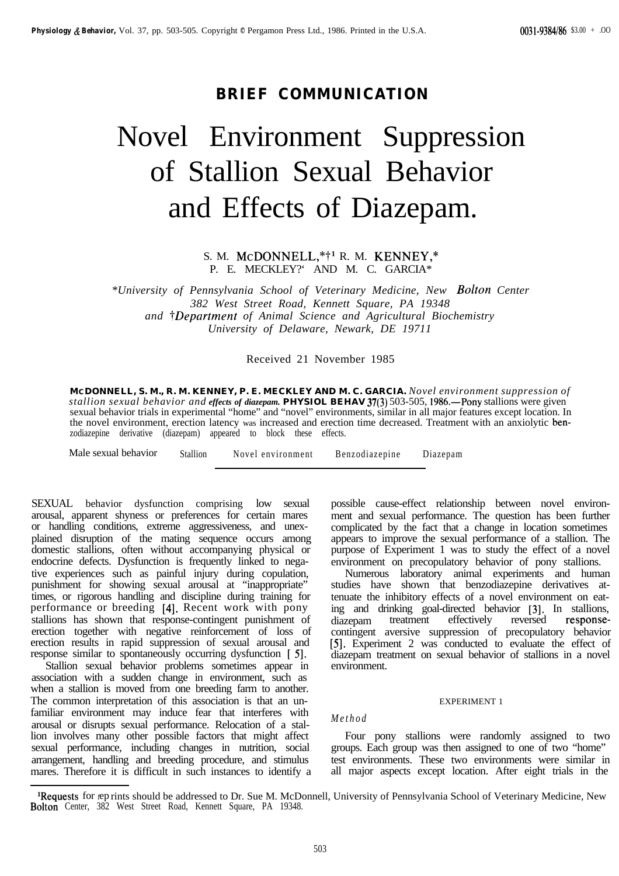# **BRIEF COMMUNICATION**

# Novel Environment Suppression of Stallion Sexual Behavior and Effects of Diazepam.

S. M. McDONNELL,\*<sup>†1</sup> R. M. KENNEY,\* P. E. MECKLEY?' AND M. C. GARCIA\*

*\*University of Pennsylvania School of Veterinary Medicine, New Bolton Center 382 West Street Road, Kennett Square, PA 19348 and TDepartment of Animal Science and Agricultural Biochemistry University of Delaware, Newark, DE 19711*

Received 21 November 1985

**MCDONNELL, S. M., R. M. KENNEY, P. E. MECKLEY AND M. C. GARCIA.** *Novel environment suppression of stallion sexual behavior and effects of diazepam.* **PHYSIOL BEHAV 37(3)** 503-505, 1986.—Pony stallions were given sexual behavior trials in experimental "home" and "novel" environments, similar in all major features except location. In the novel environment, erection latency was increased and erection time decreased. Treatment with an anxiolytic benzodiazepine derivative (diazepam) appeared to block these effects.

Male sexual behavior Stallion Novel environment Benzodiazepine Diazepam

SEXUAL behavior dysfunction comprising low sexual arousal, apparent shyness or preferences for certain mares or handling conditions, extreme aggressiveness, and unexplained disruption of the mating sequence occurs among domestic stallions, often without accompanying physical or endocrine defects. Dysfunction is frequently linked to negative experiences such as painful injury during copulation, punishment for showing sexual arousal at "inappropriate" times, or rigorous handling and discipline during training for performance or breeding [4]. Recent work with pony stallions has shown that response-contingent punishment of erection together with negative reinforcement of loss of erection results in rapid suppression of sexual arousal and response similar to spontaneously occurring dysfunction [ 5].

Stallion sexual behavior problems sometimes appear in association with a sudden change in environment, such as when a stallion is moved from one breeding farm to another. The common interpretation of this association is that an unfamiliar environment may induce fear that interferes with arousal or disrupts sexual performance. Relocation of a stallion involves many other possible factors that might affect sexual performance, including changes in nutrition, social arrangement, handling and breeding procedure, and stimulus mares. Therefore it is difficult in such instances to identify a possible cause-effect relationship between novel environment and sexual performance. The question has been further complicated by the fact that a change in location sometimes appears to improve the sexual performance of a stallion. The purpose of Experiment 1 was to study the effect of a novel environment on precopulatory behavior of pony stallions.

Numerous laboratory animal experiments and human studies have shown that benzodiazepine derivatives attenuate the inhibitory effects of a novel environment on eating and drinking goal-directed behavior [3]. In stallions, diazepam treatment effectively reversed responsecontingent aversive suppression of precopulatory behavior [5]. Experiment 2 was conducted to evaluate the effect of diazepam treatment on sexual behavior of stallions in a novel environment.

# EXPERIMENT 1

# *Method*

Four pony stallions were randomly assigned to two groups. Each group was then assigned to one of two "home" test environments. These two environments were similar in all major aspects except location. After eight trials in the

<sup>&</sup>lt;sup>1</sup>Requests for eprints should be addressed to Dr. Sue M. McDonnell, University of Pennsylvania School of Veterinary Medicine, New Bolton Center, 382 West Street Road, Kennett Square, PA 19348.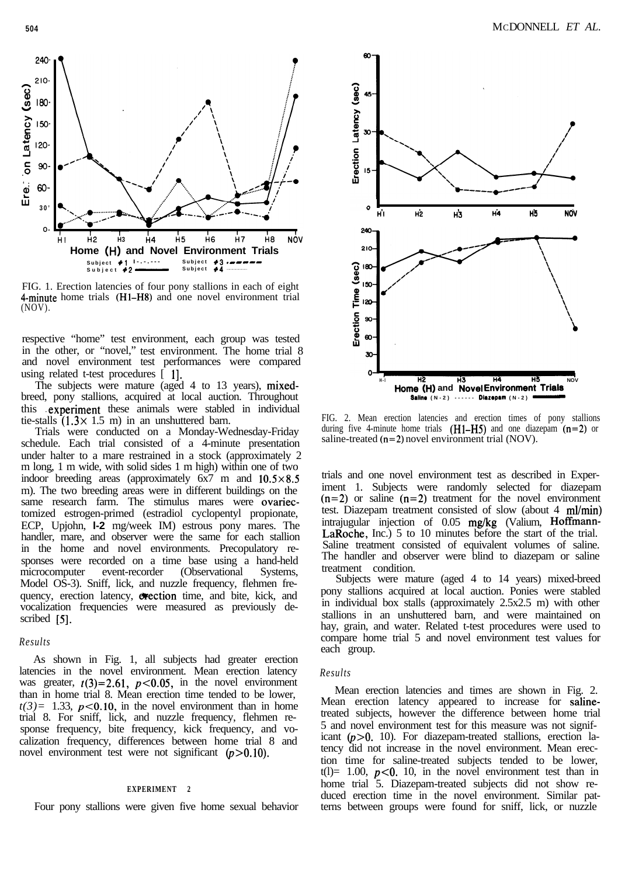

FIG. 1. Erection latencies of four pony stallions in each of eight 4-minute home trials (Hl-H8) and one novel environment trial (NOV).

respective "home" test environment, each group was tested in the other, or "novel," test environment. The home trial 8 and novel environment test performances were compared using related t-test procedures [1].

The subjects were mature (aged 4 to 13 years), mixedbreed, pony stallions, acquired at local auction. Throughout this experiment these animals were stabled in individual tie-stalls  $(1.3 \times 1.5 \text{ m})$  in an unshuttered barn.

Trials were conducted on a Monday-Wednesday-Friday schedule. Each trial consisted of a 4-minute presentation under halter to a mare restrained in a stock (approximately 2 m long, 1 m wide, with solid sides 1 m high) within one of two indoor breeding areas (approximately  $6x7$  m and  $10.5 \times 8.5$ m). The two breeding areas were in different buildings on the same research farm. The stimulus mares were ovariectomized estrogen-primed (estradiol cyclopentyl propionate, ECP, Upjohn, **l-2** mg/week IM) estrous pony mares. The handler, mare, and observer were the same for each stallion in the home and novel environments. Precopulatory responses were recorded on a time base using a hand-held microcomputer event-recorder (Observational Systems, Model OS-3). Sniff, lick, and nuzzle frequency, flehmen frequency, erection latency, exection time, and bite, kick, and vocalization frequencies were measured as previously described [5].

## *Results*

As shown in Fig. 1, all subjects had greater erection latencies in the novel environment. Mean erection latency was greater,  $t(3)=2.61$ ,  $p<0.05$ , in the novel environment than in home trial 8. Mean erection time tended to be lower,  $t(3) = 1.33$ ,  $p < 0.10$ , in the novel environment than in home trial 8. For sniff, lick, and nuzzle frequency, flehmen response frequency, bite frequency, kick frequency, and vocalization frequency, differences between home trial 8 and novel environment test were not significant  $(p>0.10)$ .

# **EXPERIMENT 2**

Four pony stallions were given five home sexual behavior



FIG. 2. Mean erection latencies and erection times of pony stallions during five 4-minute home trials  $(H1-H5)$  and one diazepam  $(n=2)$  or saline-treated (n=2) novel environment trial (NOV).

trials and one novel environment test as described in Experiment 1. Subjects were randomly selected for diazepam  $(n=2)$  or saline  $(n=2)$  treatment for the novel environment test. Diazepam treatment consisted of slow (about 4 ml/min) intrajugular injection of 0.05 mg/kg (Valium, Hoffmann-LaRoche, Inc.) 5 to 10 minutes before the start of the trial. Saline treatment consisted of equivalent volumes of saline. The handler and observer were blind to diazepam or saline treatment condition.

Subjects were mature (aged 4 to 14 years) mixed-breed pony stallions acquired at local auction. Ponies were stabled in individual box stalls (approximately 2.5x2.5 m) with other stallions in an unshuttered barn, and were maintained on hay, grain, and water. Related t-test procedures were used to compare home trial 5 and novel environment test values for each group.

#### *Results*

Mean erection latencies and times are shown in Fig. 2. Mean erection latency appeared to increase for salinetreated subjects, however the difference between home trial 5 and novel environment test for this measure was not significant  $(p>0. 10)$ . For diazepam-treated stallions, erection latency did not increase in the novel environment. Mean erection time for saline-treated subjects tended to be lower, t(1)= 1.00,  $p<0$ . 10, in the novel environment test than in home trial 5. Diazepam-treated subjects did not show reduced erection time in the novel environment. Similar patterns between groups were found for sniff, lick, or nuzzle